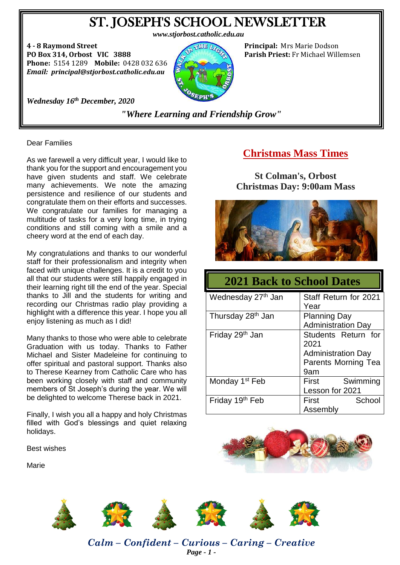# ST. JOSEPH'S SCHOOL NEWSLETTER

**4 - 8 Raymond Street Principal:** Mrs Marie Dodson **PO Box 314, Orbost VIC 3888 Parish Priest:** Fr Michael Willemsen **Phone:** 5154 1289 **Mobile:** 0428 032 636 *Email: principal@stjorbost.catholic.edu.au*



*Wednesday 16th December, 2020*

*"Where Learning and Friendship Grow"*

Dear Families

As we farewell a very difficult year, I would like to thank you for the support and encouragement you have given students and staff. We celebrate many achievements. We note the amazing persistence and resilience of our students and congratulate them on their efforts and successes. We congratulate our families for managing a multitude of tasks for a very long time, in trying conditions and still coming with a smile and a cheery word at the end of each day.

My congratulations and thanks to our wonderful staff for their professionalism and integrity when faced with unique challenges. It is a credit to you all that our students were still happily engaged in their learning right till the end of the year. Special thanks to Jill and the students for writing and recording our Christmas radio play providing a highlight with a difference this year. I hope you all enjoy listening as much as I did!

Many thanks to those who were able to celebrate Graduation with us today. Thanks to Father Michael and Sister Madeleine for continuing to offer spiritual and pastoral support. Thanks also to Therese Kearney from Catholic Care who has been working closely with staff and community members of St Joseph's during the year. We will be delighted to welcome Therese back in 2021.

Finally, I wish you all a happy and holy Christmas filled with God's blessings and quiet relaxing holidays.

Best wishes

Marie

### **Christmas Mass Times**

**St Colman's, Orbost Christmas Day: 9:00am Mass**



| <b>2021 Back to School Dates</b> |                                                                                        |  |
|----------------------------------|----------------------------------------------------------------------------------------|--|
| Wednesday 27 <sup>th</sup> Jan   | Staff Return for 2021<br>Year                                                          |  |
| Thursday 28 <sup>th</sup> Jan    | <b>Planning Day</b><br><b>Administration Day</b>                                       |  |
| Friday 29 <sup>th</sup> Jan      | Students Return for<br>2021<br><b>Administration Day</b><br>Parents Morning Tea<br>9am |  |
| Monday 1 <sup>st</sup> Feb       | Swimming<br>First<br>Lesson for 2021                                                   |  |
| Friday 19th Feb                  | School<br><b>First</b><br>Assembly                                                     |  |





*Calm – Confident – Curious – Caring – Creative Page - 1 -*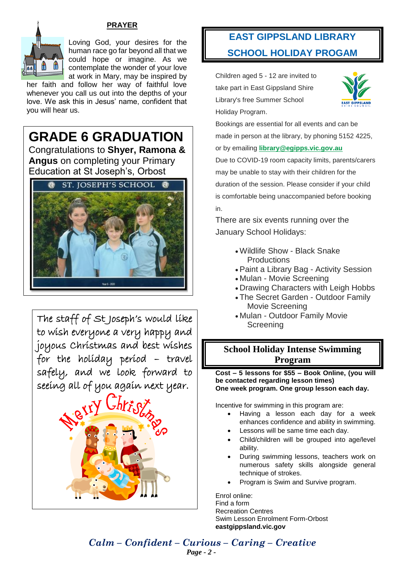#### **PRAYER**



Loving God, your desires for the human race go far beyond all that we could hope or imagine. As we contemplate the wonder of your love at work in Mary, may be inspired by

her faith and follow her way of faithful love whenever you call us out into the depths of your love. We ask this in Jesus' name, confident that you will hear us.

# **GRADE 6 GRADUATION**

Congratulations to **Shyer, Ramona & Angus** on completing your Primary Education at St Joseph's, Orbost



The staff of St Joseph's would like to wish everyone a very happy and joyous Christmas and best wishes for the holiday period – travel safely, and we look forward to seeing all of you again next year.



# **EAST GIPPSLAND LIBRARY SCHOOL HOLIDAY PROGAM**

Children aged 5 - 12 are invited to take part in East Gippsland Shire Library's free Summer School Holiday Program.



Bookings are essential for all events and can be made in person at the library, by phoning 5152 4225, or by emailing **[library@egipps.vic.gov.au](mailto:library@egipps.vic.gov.au)**

Due to COVID-19 room capacity limits, parents/carers may be unable to stay with their children for the duration of the session. Please consider if your child is comfortable being unaccompanied before booking in.

There are six events running over the January School Holidays:

- Wildlife Show Black Snake **Productions**
- Paint a Library Bag Activity Session
- Mulan Movie Screening
- Drawing Characters with Leigh Hobbs
- The Secret Garden Outdoor Family Movie Screening
- Mulan Outdoor Family Movie Screening

#### **School Holiday Intense Swimming Program**

**Cost – 5 lessons for \$55 – Book Online, (you will be contacted regarding lesson times) One week program. One group lesson each day.**

Incentive for swimming in this program are:

- Having a lesson each day for a week enhances confidence and ability in swimming.
- Lessons will be same time each day.
- Child/children will be grouped into age/level ability.
- During swimming lessons, teachers work on numerous safety skills alongside general technique of strokes.
- Program is Swim and Survive program.

Enrol online: Find a form Recreation Centres Swim Lesson Enrolment Form-Orbost **eastgippsland.vic.gov**

*Calm – Confident – Curious – Caring – Creative Page - 2 -*